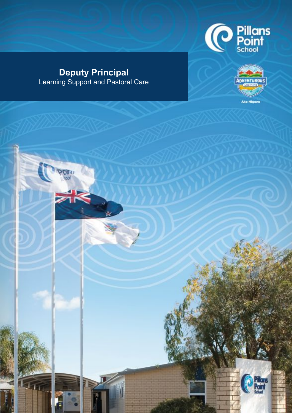

## **Deputy Principal**  Learning Support and Pastoral Care



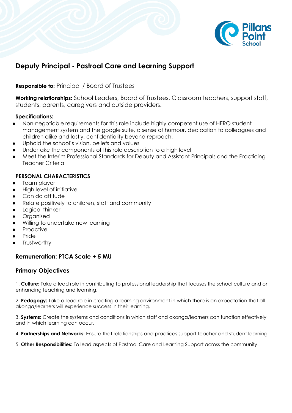

### **Deputy Principal - Pastroal Care and Learning Support**

**Responsible to:** Principal / Board of Trustees

**Working relationships:** School Leaders, Board of Trustees, Classroom teachers, support staff, students, parents, caregivers and outside providers.

#### **Specifications:**

- Non-negotiable requirements for this role include highly competent use of HERO student management system and the google suite, a sense of humour, dedication to colleagues and children alike and lastly, confidentiality beyond reproach.
- Uphold the school's vision, beliefs and values
- Undertake the components of this role description to a high level
- Meet the Interim Professional Standards for Deputy and Assistant Principals and the Practicing Teacher Criteria

#### **PERSONAL CHARACTERISTICS**

- Team player
- **High level of initiative**
- Can do attitude
- Relate positively to children, staff and community
- Logical thinker
- **Organised**
- Willing to undertake new learning
- **Proactive**
- Pride
- **Trustworthy**

#### **Remuneration: PTCA Scale + 5 MU**

#### **Primary Objectives**

1. **Culture:** Take a lead role in contributing to professional leadership that focuses the school culture and on enhancing teaching and learning.

2. **Pedagogy:** Take a lead role in creating a learning environment in which there is an expectation that all akonga/learners will experience success in their learning.

3. **Systems:** Create the systems and conditions in which staff and akonga/learners can function effectively and in which learning can occur.

4. **Partnerships and Networks:** Ensure that relationships and practices support teacher and student learning

5. **Other Responsibilities:** To lead aspects of Pastroal Care and Learning Support across the community.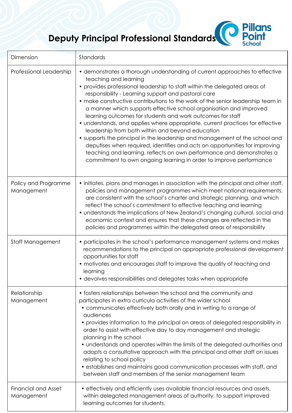## **Deputy Principal Professional Standards**